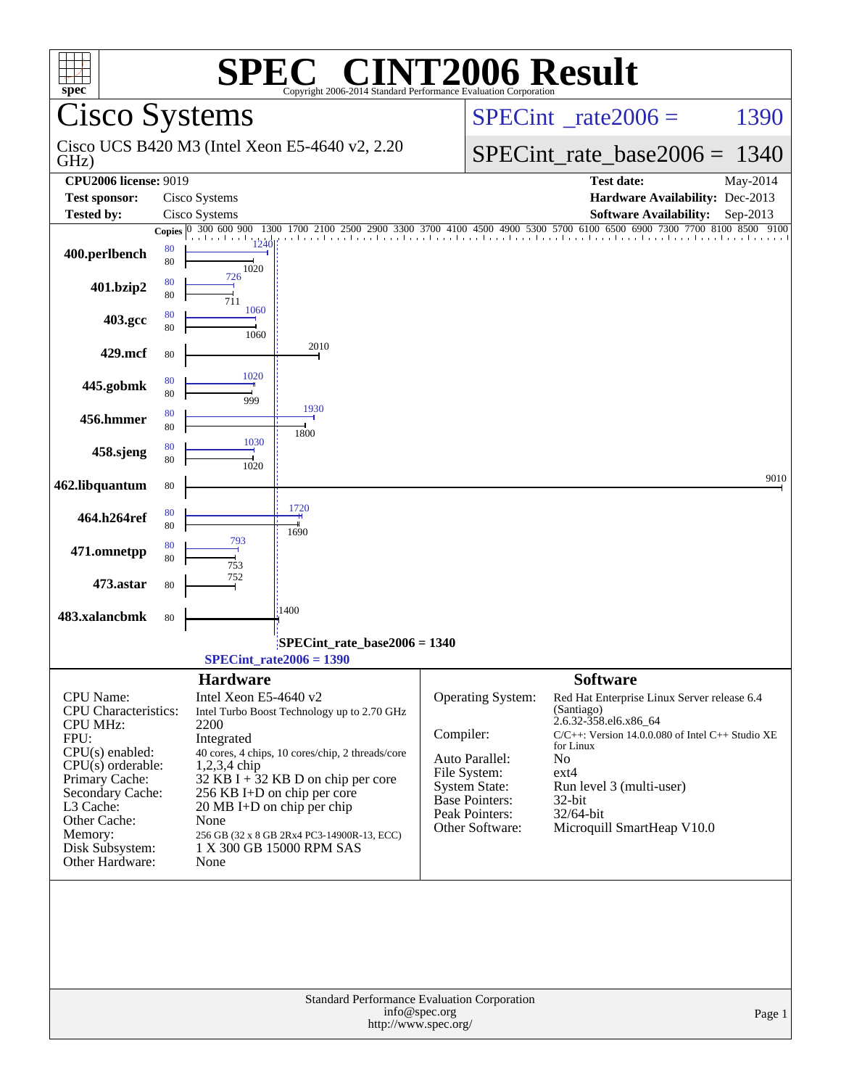| $spec^*$                                                  |                          | SPE                                  | $\mathbf{I}^{\bullet}$<br>Copyright 2006-2014 Standard Performance Evaluation Corporation | <b>INT2006 Result</b>                                                                |                                                                                                                  |                  |  |
|-----------------------------------------------------------|--------------------------|--------------------------------------|-------------------------------------------------------------------------------------------|--------------------------------------------------------------------------------------|------------------------------------------------------------------------------------------------------------------|------------------|--|
| <b>Cisco Systems</b>                                      |                          |                                      |                                                                                           |                                                                                      | $SPECint^{\circ}$ <sub>_rate2006</sub> =                                                                         | 1390             |  |
| GHz)                                                      |                          |                                      | Cisco UCS B420 M3 (Intel Xeon E5-4640 v2, 2.20)                                           |                                                                                      | $SPECint_rate_base2006 = 1340$                                                                                   |                  |  |
| <b>CPU2006 license: 9019</b>                              |                          |                                      |                                                                                           |                                                                                      | <b>Test date:</b>                                                                                                | May-2014         |  |
| <b>Test sponsor:</b>                                      |                          | Cisco Systems                        |                                                                                           |                                                                                      | Hardware Availability: Dec-2013                                                                                  |                  |  |
| <b>Tested by:</b>                                         |                          | Cisco Systems<br>300 600 900<br>1300 |                                                                                           |                                                                                      | <b>Software Availability:</b><br>2500 2900 3300 3700 4100 4500 4900 5300 5700 6100 6500 6900 7300 7700 8100 8500 | Sep-2013<br>9100 |  |
| 400.perlbench                                             | Copies $ 0 $<br>80<br>80 | and a series and<br>1020             |                                                                                           |                                                                                      |                                                                                                                  |                  |  |
| 401.bzip2                                                 | 80<br>80                 | 726<br>711                           |                                                                                           |                                                                                      |                                                                                                                  |                  |  |
| 403.gcc                                                   | 80<br>80                 | 1060<br>1060                         |                                                                                           |                                                                                      |                                                                                                                  |                  |  |
| 429.mcf                                                   | 80                       |                                      | 2010                                                                                      |                                                                                      |                                                                                                                  |                  |  |
| 445.gobmk                                                 | 80<br>80                 | 1020<br>999                          |                                                                                           |                                                                                      |                                                                                                                  |                  |  |
| 456.hmmer                                                 | 80<br>80                 |                                      | 1930<br>1800                                                                              |                                                                                      |                                                                                                                  |                  |  |
| 458.sjeng                                                 | 80<br>80                 | 1030<br>1020                         |                                                                                           |                                                                                      |                                                                                                                  |                  |  |
| 462.libquantum                                            | 80                       |                                      |                                                                                           |                                                                                      |                                                                                                                  | 9010             |  |
| 464.h264ref                                               | 80<br>80                 |                                      | 1720<br>1690                                                                              |                                                                                      |                                                                                                                  |                  |  |
| 471.omnetpp                                               | 80<br>80                 | 793<br>753                           |                                                                                           |                                                                                      |                                                                                                                  |                  |  |
| 473.astar                                                 | 80                       | 752                                  |                                                                                           |                                                                                      |                                                                                                                  |                  |  |
| 483.xalancbmk                                             | 80                       |                                      | 1400                                                                                      |                                                                                      |                                                                                                                  |                  |  |
| SPECint_rate_base2006 = 1340<br>$SPECint_rate2006 = 1390$ |                          |                                      |                                                                                           |                                                                                      |                                                                                                                  |                  |  |
|                                                           |                          | <b>Hardware</b>                      |                                                                                           |                                                                                      | <b>Software</b>                                                                                                  |                  |  |
| CPU Name:                                                 |                          | Intel Xeon E5-4640 v2                |                                                                                           | <b>Operating System:</b>                                                             | Red Hat Enterprise Linux Server release 6.4                                                                      |                  |  |
| <b>CPU</b> Characteristics:<br><b>CPU MHz:</b>            |                          | 2200                                 | Intel Turbo Boost Technology up to 2.70 GHz                                               |                                                                                      | (Santiago)<br>2.6.32-358.el6.x86_64                                                                              |                  |  |
| FPU:                                                      | Integrated               |                                      |                                                                                           | Compiler:                                                                            | C/C++: Version 14.0.0.080 of Intel C++ Studio XE<br>for Linux                                                    |                  |  |
| CPU(s) enabled:<br>$CPU(s)$ orderable:                    |                          | $1,2,3,4$ chip                       | 40 cores, 4 chips, 10 cores/chip, 2 threads/core                                          | Auto Parallel:                                                                       | No                                                                                                               |                  |  |
| Primary Cache:                                            |                          |                                      | 32 KB I + $32$ KB D on chip per core                                                      | File System:<br><b>System State:</b>                                                 | $ext{4}$<br>Run level 3 (multi-user)                                                                             |                  |  |
| Secondary Cache:<br>L3 Cache:                             |                          | $20 \text{ MB I+D}$ on chip per chip | 256 KB I+D on chip per core                                                               | Base Pointers:                                                                       | 32-bit                                                                                                           |                  |  |
| Other Cache:                                              |                          | None                                 |                                                                                           | Peak Pointers:<br>Other Software:                                                    | 32/64-bit                                                                                                        |                  |  |
| Memory:                                                   |                          |                                      | 256 GB (32 x 8 GB 2Rx4 PC3-14900R-13, ECC)                                                |                                                                                      | Microquill SmartHeap V10.0                                                                                       |                  |  |
| Disk Subsystem:<br>Other Hardware:                        |                          | None                                 | 1 X 300 GB 15000 RPM SAS                                                                  |                                                                                      |                                                                                                                  |                  |  |
|                                                           |                          |                                      |                                                                                           |                                                                                      |                                                                                                                  |                  |  |
|                                                           |                          |                                      |                                                                                           | Standard Performance Evaluation Corporation<br>info@spec.org<br>http://www.spec.org/ |                                                                                                                  | Page 1           |  |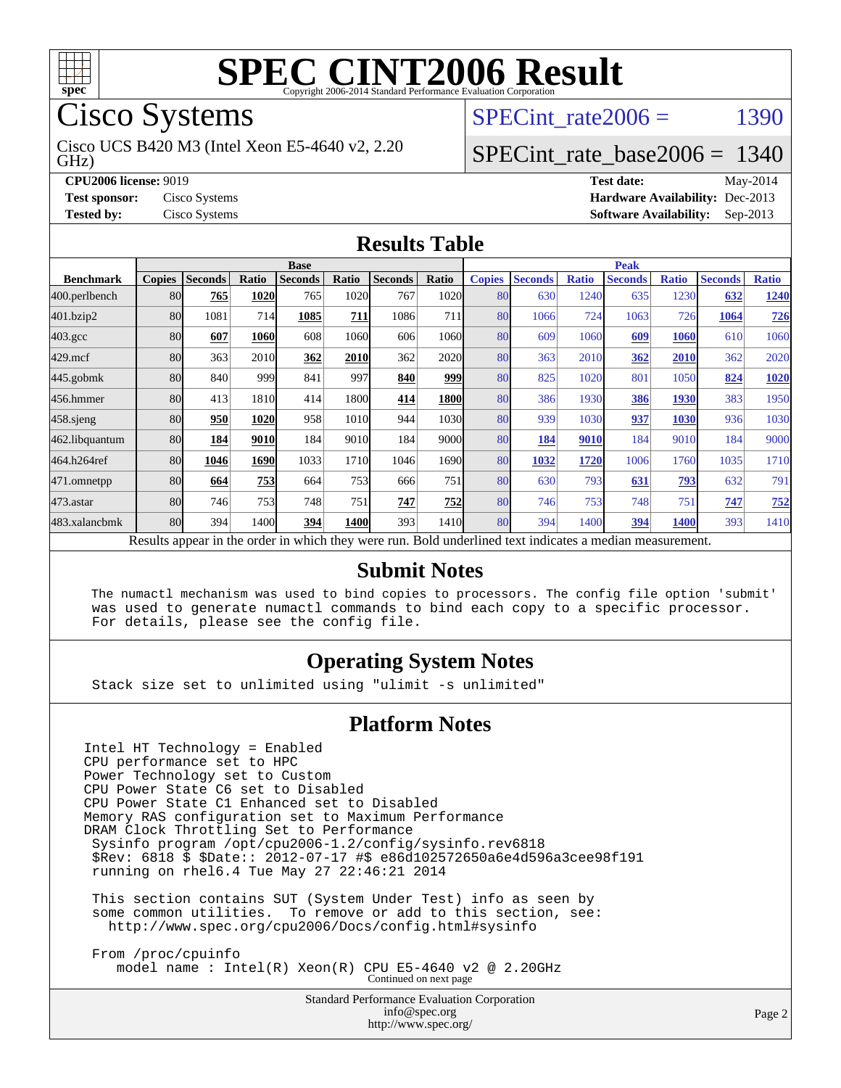

Cisco Systems

GHz) Cisco UCS B420 M3 (Intel Xeon E5-4640 v2, 2.20 SPECint rate $2006 =$  1390

### [SPECint\\_rate\\_base2006 =](http://www.spec.org/auto/cpu2006/Docs/result-fields.html#SPECintratebase2006) 1340

**[CPU2006 license:](http://www.spec.org/auto/cpu2006/Docs/result-fields.html#CPU2006license)** 9019 **[Test date:](http://www.spec.org/auto/cpu2006/Docs/result-fields.html#Testdate)** May-2014 **[Test sponsor:](http://www.spec.org/auto/cpu2006/Docs/result-fields.html#Testsponsor)** Cisco Systems **[Hardware Availability:](http://www.spec.org/auto/cpu2006/Docs/result-fields.html#HardwareAvailability)** Dec-2013 **[Tested by:](http://www.spec.org/auto/cpu2006/Docs/result-fields.html#Testedby)** Cisco Systems **[Software Availability:](http://www.spec.org/auto/cpu2006/Docs/result-fields.html#SoftwareAvailability)** Sep-2013

#### **[Results Table](http://www.spec.org/auto/cpu2006/Docs/result-fields.html#ResultsTable)**

|                    | <b>Base</b>                                                                                              |                |       |                |       |                | <b>Peak</b> |               |                |              |                |              |                |              |
|--------------------|----------------------------------------------------------------------------------------------------------|----------------|-------|----------------|-------|----------------|-------------|---------------|----------------|--------------|----------------|--------------|----------------|--------------|
| <b>Benchmark</b>   | <b>Copies</b>                                                                                            | <b>Seconds</b> | Ratio | <b>Seconds</b> | Ratio | <b>Seconds</b> | Ratio       | <b>Copies</b> | <b>Seconds</b> | <b>Ratio</b> | <b>Seconds</b> | <b>Ratio</b> | <b>Seconds</b> | <b>Ratio</b> |
| 400.perlbench      | 80                                                                                                       | 765            | 1020  | 765            | 1020  | 767            | 1020l       | 80            | 630            | 1240         | 635            | 1230         | 632            | 1240         |
| 401.bzip2          | 80                                                                                                       | 1081           | 714   | 1085           | 711   | 1086           | <b>711</b>  | 80            | 1066           | 724          | 1063           | 726          | 1064           | 726          |
| $403.\mathrm{gcc}$ | 80                                                                                                       | 607            | 1060  | 608            | 1060  | 606            | 1060        | 80            | 609            | 1060         | 609            | <b>1060</b>  | 610            | 1060         |
| $429$ .mcf         | 80                                                                                                       | 363            | 2010  | 362            | 2010  | 362            | <b>2020</b> | 80            | 363            | 2010         | 362            | 2010         | 362            | 2020         |
| $445$ .gobmk       | 80                                                                                                       | 840            | 999   | 841            | 997   | 840            | 999         | 80            | 825            | 1020         | 801            | 1050         | 824            | 1020         |
| 456.hmmer          | 80                                                                                                       | 413            | 1810  | 414            | 1800l | 414            | 1800        | 80            | 386            | 1930         | 386            | 1930         | 383            | 1950         |
| $458$ .sjeng       | 80                                                                                                       | 950            | 1020  | 958            | 1010  | 944            | 1030l       | 80            | 939            | 1030         | 937            | 1030         | 936            | 1030         |
| 462.libquantum     | 80                                                                                                       | 184            | 9010  | 184            | 9010  | 184            | 9000        | 80            | <u>184</u>     | 9010         | 184            | 9010         | 184            | 9000         |
| 464.h264ref        | 80                                                                                                       | 1046           | 1690  | 1033           | 1710  | 1046           | 1690        | 80            | 1032           | 1720         | 1006           | 1760         | 1035           | 1710         |
| 471.omnetpp        | 80                                                                                                       | 664            | 753   | 664            | 753   | 666            | 751         | 80            | 630            | 793          | 631            | 793          | 632            | 791          |
| $473$ . astar      | 80                                                                                                       | 746            | 753   | 748            | 751   | 747            | 752         | 80            | 746            | 753          | 748            | 751          | 747            | 752          |
| 483.xalancbmk      | 80                                                                                                       | 394            | 1400  | 394            | 1400  | 393            | 1410        | 80            | 394            | 1400         | 394            | <b>1400</b>  | 393            | 1410         |
|                    | Results appear in the order in which they were run. Bold underlined text indicates a median measurement. |                |       |                |       |                |             |               |                |              |                |              |                |              |

#### **[Submit Notes](http://www.spec.org/auto/cpu2006/Docs/result-fields.html#SubmitNotes)**

 The numactl mechanism was used to bind copies to processors. The config file option 'submit' was used to generate numactl commands to bind each copy to a specific processor. For details, please see the config file.

#### **[Operating System Notes](http://www.spec.org/auto/cpu2006/Docs/result-fields.html#OperatingSystemNotes)**

Stack size set to unlimited using "ulimit -s unlimited"

#### **[Platform Notes](http://www.spec.org/auto/cpu2006/Docs/result-fields.html#PlatformNotes)**

Intel HT Technology = Enabled CPU performance set to HPC Power Technology set to Custom CPU Power State C6 set to Disabled CPU Power State C1 Enhanced set to Disabled Memory RAS configuration set to Maximum Performance DRAM Clock Throttling Set to Performance Sysinfo program /opt/cpu2006-1.2/config/sysinfo.rev6818 \$Rev: 6818 \$ \$Date:: 2012-07-17 #\$ e86d102572650a6e4d596a3cee98f191 running on rhel6.4 Tue May 27 22:46:21 2014

 This section contains SUT (System Under Test) info as seen by some common utilities. To remove or add to this section, see: <http://www.spec.org/cpu2006/Docs/config.html#sysinfo>

 From /proc/cpuinfo model name : Intel(R) Xeon(R) CPU E5-4640 v2 @ 2.20GHz Continued on next page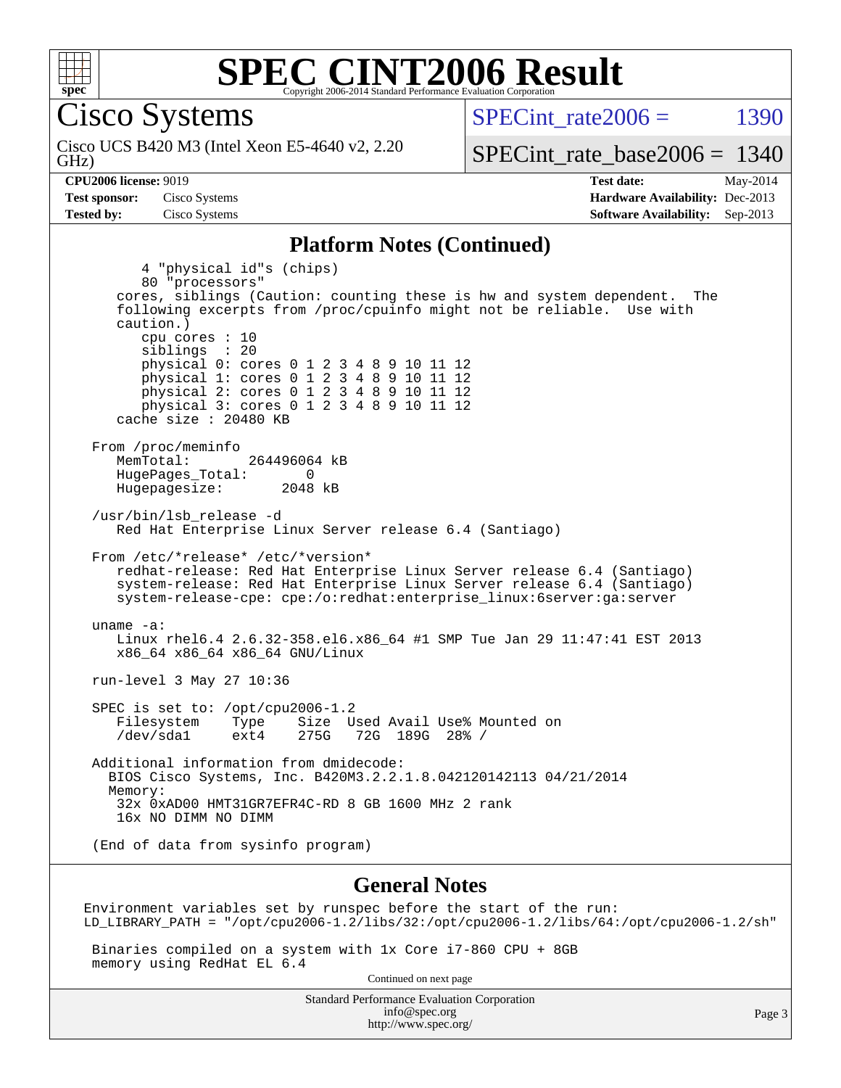

Cisco Systems

GHz) Cisco UCS B420 M3 (Intel Xeon E5-4640 v2, 2.20 SPECint rate $2006 =$  1390

[SPECint\\_rate\\_base2006 =](http://www.spec.org/auto/cpu2006/Docs/result-fields.html#SPECintratebase2006) 1340

**[CPU2006 license:](http://www.spec.org/auto/cpu2006/Docs/result-fields.html#CPU2006license)** 9019 **[Test date:](http://www.spec.org/auto/cpu2006/Docs/result-fields.html#Testdate)** May-2014 **[Test sponsor:](http://www.spec.org/auto/cpu2006/Docs/result-fields.html#Testsponsor)** Cisco Systems **[Hardware Availability:](http://www.spec.org/auto/cpu2006/Docs/result-fields.html#HardwareAvailability)** Dec-2013 **[Tested by:](http://www.spec.org/auto/cpu2006/Docs/result-fields.html#Testedby)** Cisco Systems **[Software Availability:](http://www.spec.org/auto/cpu2006/Docs/result-fields.html#SoftwareAvailability)** Sep-2013

#### **[Platform Notes \(Continued\)](http://www.spec.org/auto/cpu2006/Docs/result-fields.html#PlatformNotes)**

 4 "physical id"s (chips) 80 "processors" cores, siblings (Caution: counting these is hw and system dependent. The following excerpts from /proc/cpuinfo might not be reliable. Use with caution.) cpu cores : 10 siblings : 20 physical 0: cores 0 1 2 3 4 8 9 10 11 12 physical 1: cores 0 1 2 3 4 8 9 10 11 12 physical 2: cores 0 1 2 3 4 8 9 10 11 12 physical 3: cores 0 1 2 3 4 8 9 10 11 12 cache size : 20480 KB From /proc/meminfo<br>MemTotal: 264496064 kB HugePages\_Total: 0<br>Hugepagesize: 2048 kB Hugepagesize: /usr/bin/lsb\_release -d Red Hat Enterprise Linux Server release 6.4 (Santiago) From /etc/\*release\* /etc/\*version\* redhat-release: Red Hat Enterprise Linux Server release 6.4 (Santiago) system-release: Red Hat Enterprise Linux Server release 6.4 (Santiago) system-release-cpe: cpe:/o:redhat:enterprise\_linux:6server:ga:server uname -a: Linux rhel6.4 2.6.32-358.el6.x86\_64 #1 SMP Tue Jan 29 11:47:41 EST 2013 x86\_64 x86\_64 x86\_64 GNU/Linux run-level 3 May 27 10:36 SPEC is set to: /opt/cpu2006-1.2 Filesystem Type Size Used Avail Use% Mounted on<br>
/dev/sda1 ext4 275G 72G 189G 28% / 72G 189G 28% / Additional information from dmidecode: BIOS Cisco Systems, Inc. B420M3.2.2.1.8.042120142113 04/21/2014 Memory: 32x 0xAD00 HMT31GR7EFR4C-RD 8 GB 1600 MHz 2 rank 16x NO DIMM NO DIMM (End of data from sysinfo program)

#### **[General Notes](http://www.spec.org/auto/cpu2006/Docs/result-fields.html#GeneralNotes)**

Environment variables set by runspec before the start of the run: LD\_LIBRARY\_PATH = "/opt/cpu2006-1.2/libs/32:/opt/cpu2006-1.2/libs/64:/opt/cpu2006-1.2/sh"

 Binaries compiled on a system with 1x Core i7-860 CPU + 8GB memory using RedHat EL 6.4

Continued on next page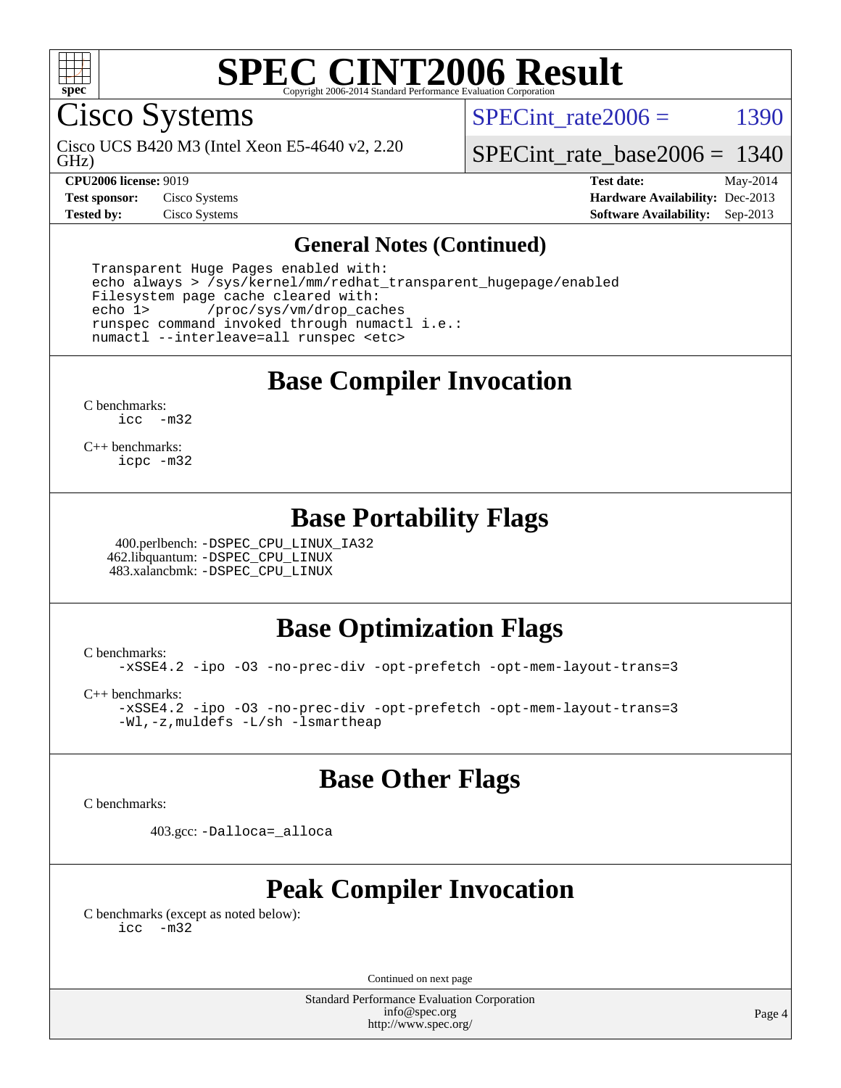

Cisco Systems

GHz) Cisco UCS B420 M3 (Intel Xeon E5-4640 v2, 2.20 SPECint rate $2006 =$  1390

[SPECint\\_rate\\_base2006 =](http://www.spec.org/auto/cpu2006/Docs/result-fields.html#SPECintratebase2006) 1340

**[CPU2006 license:](http://www.spec.org/auto/cpu2006/Docs/result-fields.html#CPU2006license)** 9019 **[Test date:](http://www.spec.org/auto/cpu2006/Docs/result-fields.html#Testdate)** May-2014 **[Test sponsor:](http://www.spec.org/auto/cpu2006/Docs/result-fields.html#Testsponsor)** Cisco Systems **[Hardware Availability:](http://www.spec.org/auto/cpu2006/Docs/result-fields.html#HardwareAvailability)** Dec-2013 **[Tested by:](http://www.spec.org/auto/cpu2006/Docs/result-fields.html#Testedby)** Cisco Systems **[Software Availability:](http://www.spec.org/auto/cpu2006/Docs/result-fields.html#SoftwareAvailability)** Sep-2013

#### **[General Notes \(Continued\)](http://www.spec.org/auto/cpu2006/Docs/result-fields.html#GeneralNotes)**

 Transparent Huge Pages enabled with: echo always > /sys/kernel/mm/redhat\_transparent\_hugepage/enabled Filesystem page cache cleared with: echo 1> /proc/sys/vm/drop\_caches runspec command invoked through numactl i.e.: numactl --interleave=all runspec <etc>

**[Base Compiler Invocation](http://www.spec.org/auto/cpu2006/Docs/result-fields.html#BaseCompilerInvocation)**

[C benchmarks](http://www.spec.org/auto/cpu2006/Docs/result-fields.html#Cbenchmarks): [icc -m32](http://www.spec.org/cpu2006/results/res2014q3/cpu2006-20140606-29834.flags.html#user_CCbase_intel_icc_5ff4a39e364c98233615fdd38438c6f2)

[C++ benchmarks:](http://www.spec.org/auto/cpu2006/Docs/result-fields.html#CXXbenchmarks) [icpc -m32](http://www.spec.org/cpu2006/results/res2014q3/cpu2006-20140606-29834.flags.html#user_CXXbase_intel_icpc_4e5a5ef1a53fd332b3c49e69c3330699)

## **[Base Portability Flags](http://www.spec.org/auto/cpu2006/Docs/result-fields.html#BasePortabilityFlags)**

 400.perlbench: [-DSPEC\\_CPU\\_LINUX\\_IA32](http://www.spec.org/cpu2006/results/res2014q3/cpu2006-20140606-29834.flags.html#b400.perlbench_baseCPORTABILITY_DSPEC_CPU_LINUX_IA32) 462.libquantum: [-DSPEC\\_CPU\\_LINUX](http://www.spec.org/cpu2006/results/res2014q3/cpu2006-20140606-29834.flags.html#b462.libquantum_baseCPORTABILITY_DSPEC_CPU_LINUX) 483.xalancbmk: [-DSPEC\\_CPU\\_LINUX](http://www.spec.org/cpu2006/results/res2014q3/cpu2006-20140606-29834.flags.html#b483.xalancbmk_baseCXXPORTABILITY_DSPEC_CPU_LINUX)

## **[Base Optimization Flags](http://www.spec.org/auto/cpu2006/Docs/result-fields.html#BaseOptimizationFlags)**

[C benchmarks](http://www.spec.org/auto/cpu2006/Docs/result-fields.html#Cbenchmarks):

[-xSSE4.2](http://www.spec.org/cpu2006/results/res2014q3/cpu2006-20140606-29834.flags.html#user_CCbase_f-xSSE42_f91528193cf0b216347adb8b939d4107) [-ipo](http://www.spec.org/cpu2006/results/res2014q3/cpu2006-20140606-29834.flags.html#user_CCbase_f-ipo) [-O3](http://www.spec.org/cpu2006/results/res2014q3/cpu2006-20140606-29834.flags.html#user_CCbase_f-O3) [-no-prec-div](http://www.spec.org/cpu2006/results/res2014q3/cpu2006-20140606-29834.flags.html#user_CCbase_f-no-prec-div) [-opt-prefetch](http://www.spec.org/cpu2006/results/res2014q3/cpu2006-20140606-29834.flags.html#user_CCbase_f-opt-prefetch) [-opt-mem-layout-trans=3](http://www.spec.org/cpu2006/results/res2014q3/cpu2006-20140606-29834.flags.html#user_CCbase_f-opt-mem-layout-trans_a7b82ad4bd7abf52556d4961a2ae94d5)

[C++ benchmarks:](http://www.spec.org/auto/cpu2006/Docs/result-fields.html#CXXbenchmarks)

[-xSSE4.2](http://www.spec.org/cpu2006/results/res2014q3/cpu2006-20140606-29834.flags.html#user_CXXbase_f-xSSE42_f91528193cf0b216347adb8b939d4107) [-ipo](http://www.spec.org/cpu2006/results/res2014q3/cpu2006-20140606-29834.flags.html#user_CXXbase_f-ipo) [-O3](http://www.spec.org/cpu2006/results/res2014q3/cpu2006-20140606-29834.flags.html#user_CXXbase_f-O3) [-no-prec-div](http://www.spec.org/cpu2006/results/res2014q3/cpu2006-20140606-29834.flags.html#user_CXXbase_f-no-prec-div) [-opt-prefetch](http://www.spec.org/cpu2006/results/res2014q3/cpu2006-20140606-29834.flags.html#user_CXXbase_f-opt-prefetch) [-opt-mem-layout-trans=3](http://www.spec.org/cpu2006/results/res2014q3/cpu2006-20140606-29834.flags.html#user_CXXbase_f-opt-mem-layout-trans_a7b82ad4bd7abf52556d4961a2ae94d5) [-Wl,-z,muldefs](http://www.spec.org/cpu2006/results/res2014q3/cpu2006-20140606-29834.flags.html#user_CXXbase_link_force_multiple1_74079c344b956b9658436fd1b6dd3a8a) [-L/sh -lsmartheap](http://www.spec.org/cpu2006/results/res2014q3/cpu2006-20140606-29834.flags.html#user_CXXbase_SmartHeap_32f6c82aa1ed9c52345d30cf6e4a0499)

## **[Base Other Flags](http://www.spec.org/auto/cpu2006/Docs/result-fields.html#BaseOtherFlags)**

[C benchmarks](http://www.spec.org/auto/cpu2006/Docs/result-fields.html#Cbenchmarks):

403.gcc: [-Dalloca=\\_alloca](http://www.spec.org/cpu2006/results/res2014q3/cpu2006-20140606-29834.flags.html#b403.gcc_baseEXTRA_CFLAGS_Dalloca_be3056838c12de2578596ca5467af7f3)

## **[Peak Compiler Invocation](http://www.spec.org/auto/cpu2006/Docs/result-fields.html#PeakCompilerInvocation)**

[C benchmarks \(except as noted below\)](http://www.spec.org/auto/cpu2006/Docs/result-fields.html#Cbenchmarksexceptasnotedbelow): [icc -m32](http://www.spec.org/cpu2006/results/res2014q3/cpu2006-20140606-29834.flags.html#user_CCpeak_intel_icc_5ff4a39e364c98233615fdd38438c6f2)

Continued on next page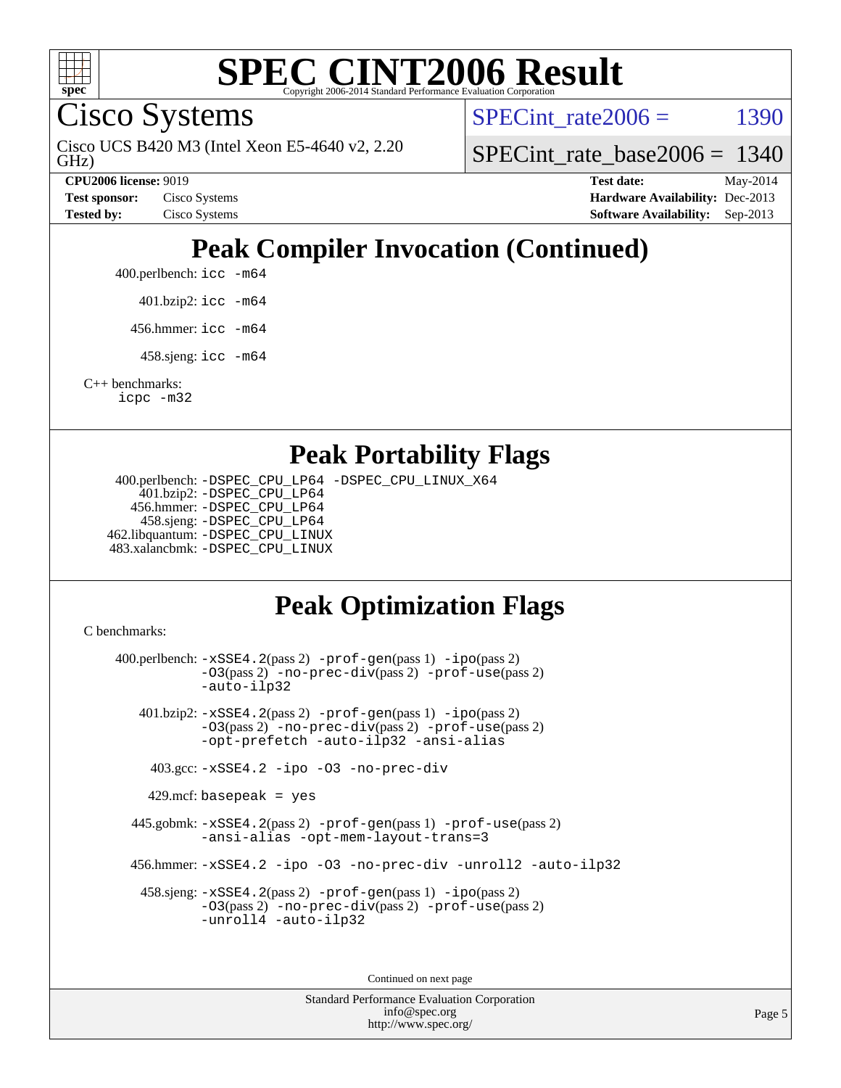

Cisco Systems

GHz) Cisco UCS B420 M3 (Intel Xeon E5-4640 v2, 2.20 SPECint rate $2006 =$  1390

[SPECint\\_rate\\_base2006 =](http://www.spec.org/auto/cpu2006/Docs/result-fields.html#SPECintratebase2006) 1340

**[CPU2006 license:](http://www.spec.org/auto/cpu2006/Docs/result-fields.html#CPU2006license)** 9019 **[Test date:](http://www.spec.org/auto/cpu2006/Docs/result-fields.html#Testdate)** May-2014 **[Test sponsor:](http://www.spec.org/auto/cpu2006/Docs/result-fields.html#Testsponsor)** Cisco Systems **[Hardware Availability:](http://www.spec.org/auto/cpu2006/Docs/result-fields.html#HardwareAvailability)** Dec-2013 **[Tested by:](http://www.spec.org/auto/cpu2006/Docs/result-fields.html#Testedby)** Cisco Systems **[Software Availability:](http://www.spec.org/auto/cpu2006/Docs/result-fields.html#SoftwareAvailability)** Sep-2013

## **[Peak Compiler Invocation \(Continued\)](http://www.spec.org/auto/cpu2006/Docs/result-fields.html#PeakCompilerInvocation)**

400.perlbench: [icc -m64](http://www.spec.org/cpu2006/results/res2014q3/cpu2006-20140606-29834.flags.html#user_peakCCLD400_perlbench_intel_icc_64bit_bda6cc9af1fdbb0edc3795bac97ada53)

401.bzip2: [icc -m64](http://www.spec.org/cpu2006/results/res2014q3/cpu2006-20140606-29834.flags.html#user_peakCCLD401_bzip2_intel_icc_64bit_bda6cc9af1fdbb0edc3795bac97ada53)

456.hmmer: [icc -m64](http://www.spec.org/cpu2006/results/res2014q3/cpu2006-20140606-29834.flags.html#user_peakCCLD456_hmmer_intel_icc_64bit_bda6cc9af1fdbb0edc3795bac97ada53)

458.sjeng: [icc -m64](http://www.spec.org/cpu2006/results/res2014q3/cpu2006-20140606-29834.flags.html#user_peakCCLD458_sjeng_intel_icc_64bit_bda6cc9af1fdbb0edc3795bac97ada53)

[C++ benchmarks:](http://www.spec.org/auto/cpu2006/Docs/result-fields.html#CXXbenchmarks) [icpc -m32](http://www.spec.org/cpu2006/results/res2014q3/cpu2006-20140606-29834.flags.html#user_CXXpeak_intel_icpc_4e5a5ef1a53fd332b3c49e69c3330699)

### **[Peak Portability Flags](http://www.spec.org/auto/cpu2006/Docs/result-fields.html#PeakPortabilityFlags)**

 400.perlbench: [-DSPEC\\_CPU\\_LP64](http://www.spec.org/cpu2006/results/res2014q3/cpu2006-20140606-29834.flags.html#b400.perlbench_peakCPORTABILITY_DSPEC_CPU_LP64) [-DSPEC\\_CPU\\_LINUX\\_X64](http://www.spec.org/cpu2006/results/res2014q3/cpu2006-20140606-29834.flags.html#b400.perlbench_peakCPORTABILITY_DSPEC_CPU_LINUX_X64) 401.bzip2: [-DSPEC\\_CPU\\_LP64](http://www.spec.org/cpu2006/results/res2014q3/cpu2006-20140606-29834.flags.html#suite_peakCPORTABILITY401_bzip2_DSPEC_CPU_LP64) 456.hmmer: [-DSPEC\\_CPU\\_LP64](http://www.spec.org/cpu2006/results/res2014q3/cpu2006-20140606-29834.flags.html#suite_peakCPORTABILITY456_hmmer_DSPEC_CPU_LP64) 458.sjeng: [-DSPEC\\_CPU\\_LP64](http://www.spec.org/cpu2006/results/res2014q3/cpu2006-20140606-29834.flags.html#suite_peakCPORTABILITY458_sjeng_DSPEC_CPU_LP64) 462.libquantum: [-DSPEC\\_CPU\\_LINUX](http://www.spec.org/cpu2006/results/res2014q3/cpu2006-20140606-29834.flags.html#b462.libquantum_peakCPORTABILITY_DSPEC_CPU_LINUX) 483.xalancbmk: [-DSPEC\\_CPU\\_LINUX](http://www.spec.org/cpu2006/results/res2014q3/cpu2006-20140606-29834.flags.html#b483.xalancbmk_peakCXXPORTABILITY_DSPEC_CPU_LINUX)

## **[Peak Optimization Flags](http://www.spec.org/auto/cpu2006/Docs/result-fields.html#PeakOptimizationFlags)**

[C benchmarks](http://www.spec.org/auto/cpu2006/Docs/result-fields.html#Cbenchmarks):

 400.perlbench: [-xSSE4.2](http://www.spec.org/cpu2006/results/res2014q3/cpu2006-20140606-29834.flags.html#user_peakPASS2_CFLAGSPASS2_LDCFLAGS400_perlbench_f-xSSE42_f91528193cf0b216347adb8b939d4107)(pass 2) [-prof-gen](http://www.spec.org/cpu2006/results/res2014q3/cpu2006-20140606-29834.flags.html#user_peakPASS1_CFLAGSPASS1_LDCFLAGS400_perlbench_prof_gen_e43856698f6ca7b7e442dfd80e94a8fc)(pass 1) [-ipo](http://www.spec.org/cpu2006/results/res2014q3/cpu2006-20140606-29834.flags.html#user_peakPASS2_CFLAGSPASS2_LDCFLAGS400_perlbench_f-ipo)(pass 2) [-O3](http://www.spec.org/cpu2006/results/res2014q3/cpu2006-20140606-29834.flags.html#user_peakPASS2_CFLAGSPASS2_LDCFLAGS400_perlbench_f-O3)(pass 2) [-no-prec-div](http://www.spec.org/cpu2006/results/res2014q3/cpu2006-20140606-29834.flags.html#user_peakPASS2_CFLAGSPASS2_LDCFLAGS400_perlbench_f-no-prec-div)(pass 2) [-prof-use](http://www.spec.org/cpu2006/results/res2014q3/cpu2006-20140606-29834.flags.html#user_peakPASS2_CFLAGSPASS2_LDCFLAGS400_perlbench_prof_use_bccf7792157ff70d64e32fe3e1250b55)(pass 2) [-auto-ilp32](http://www.spec.org/cpu2006/results/res2014q3/cpu2006-20140606-29834.flags.html#user_peakCOPTIMIZE400_perlbench_f-auto-ilp32) 401.bzip2: [-xSSE4.2](http://www.spec.org/cpu2006/results/res2014q3/cpu2006-20140606-29834.flags.html#user_peakPASS2_CFLAGSPASS2_LDCFLAGS401_bzip2_f-xSSE42_f91528193cf0b216347adb8b939d4107)(pass 2) [-prof-gen](http://www.spec.org/cpu2006/results/res2014q3/cpu2006-20140606-29834.flags.html#user_peakPASS1_CFLAGSPASS1_LDCFLAGS401_bzip2_prof_gen_e43856698f6ca7b7e442dfd80e94a8fc)(pass 1) [-ipo](http://www.spec.org/cpu2006/results/res2014q3/cpu2006-20140606-29834.flags.html#user_peakPASS2_CFLAGSPASS2_LDCFLAGS401_bzip2_f-ipo)(pass 2) [-O3](http://www.spec.org/cpu2006/results/res2014q3/cpu2006-20140606-29834.flags.html#user_peakPASS2_CFLAGSPASS2_LDCFLAGS401_bzip2_f-O3)(pass 2) [-no-prec-div](http://www.spec.org/cpu2006/results/res2014q3/cpu2006-20140606-29834.flags.html#user_peakPASS2_CFLAGSPASS2_LDCFLAGS401_bzip2_f-no-prec-div)(pass 2) [-prof-use](http://www.spec.org/cpu2006/results/res2014q3/cpu2006-20140606-29834.flags.html#user_peakPASS2_CFLAGSPASS2_LDCFLAGS401_bzip2_prof_use_bccf7792157ff70d64e32fe3e1250b55)(pass 2) [-opt-prefetch](http://www.spec.org/cpu2006/results/res2014q3/cpu2006-20140606-29834.flags.html#user_peakCOPTIMIZE401_bzip2_f-opt-prefetch) [-auto-ilp32](http://www.spec.org/cpu2006/results/res2014q3/cpu2006-20140606-29834.flags.html#user_peakCOPTIMIZE401_bzip2_f-auto-ilp32) [-ansi-alias](http://www.spec.org/cpu2006/results/res2014q3/cpu2006-20140606-29834.flags.html#user_peakCOPTIMIZE401_bzip2_f-ansi-alias) 403.gcc: [-xSSE4.2](http://www.spec.org/cpu2006/results/res2014q3/cpu2006-20140606-29834.flags.html#user_peakCOPTIMIZE403_gcc_f-xSSE42_f91528193cf0b216347adb8b939d4107) [-ipo](http://www.spec.org/cpu2006/results/res2014q3/cpu2006-20140606-29834.flags.html#user_peakCOPTIMIZE403_gcc_f-ipo) [-O3](http://www.spec.org/cpu2006/results/res2014q3/cpu2006-20140606-29834.flags.html#user_peakCOPTIMIZE403_gcc_f-O3) [-no-prec-div](http://www.spec.org/cpu2006/results/res2014q3/cpu2006-20140606-29834.flags.html#user_peakCOPTIMIZE403_gcc_f-no-prec-div)  $429$ .mcf: basepeak = yes 445.gobmk: [-xSSE4.2](http://www.spec.org/cpu2006/results/res2014q3/cpu2006-20140606-29834.flags.html#user_peakPASS2_CFLAGSPASS2_LDCFLAGS445_gobmk_f-xSSE42_f91528193cf0b216347adb8b939d4107)(pass 2) [-prof-gen](http://www.spec.org/cpu2006/results/res2014q3/cpu2006-20140606-29834.flags.html#user_peakPASS1_CFLAGSPASS1_LDCFLAGS445_gobmk_prof_gen_e43856698f6ca7b7e442dfd80e94a8fc)(pass 1) [-prof-use](http://www.spec.org/cpu2006/results/res2014q3/cpu2006-20140606-29834.flags.html#user_peakPASS2_CFLAGSPASS2_LDCFLAGS445_gobmk_prof_use_bccf7792157ff70d64e32fe3e1250b55)(pass 2) [-ansi-alias](http://www.spec.org/cpu2006/results/res2014q3/cpu2006-20140606-29834.flags.html#user_peakCOPTIMIZE445_gobmk_f-ansi-alias) [-opt-mem-layout-trans=3](http://www.spec.org/cpu2006/results/res2014q3/cpu2006-20140606-29834.flags.html#user_peakCOPTIMIZE445_gobmk_f-opt-mem-layout-trans_a7b82ad4bd7abf52556d4961a2ae94d5) 456.hmmer: [-xSSE4.2](http://www.spec.org/cpu2006/results/res2014q3/cpu2006-20140606-29834.flags.html#user_peakCOPTIMIZE456_hmmer_f-xSSE42_f91528193cf0b216347adb8b939d4107) [-ipo](http://www.spec.org/cpu2006/results/res2014q3/cpu2006-20140606-29834.flags.html#user_peakCOPTIMIZE456_hmmer_f-ipo) [-O3](http://www.spec.org/cpu2006/results/res2014q3/cpu2006-20140606-29834.flags.html#user_peakCOPTIMIZE456_hmmer_f-O3) [-no-prec-div](http://www.spec.org/cpu2006/results/res2014q3/cpu2006-20140606-29834.flags.html#user_peakCOPTIMIZE456_hmmer_f-no-prec-div) [-unroll2](http://www.spec.org/cpu2006/results/res2014q3/cpu2006-20140606-29834.flags.html#user_peakCOPTIMIZE456_hmmer_f-unroll_784dae83bebfb236979b41d2422d7ec2) [-auto-ilp32](http://www.spec.org/cpu2006/results/res2014q3/cpu2006-20140606-29834.flags.html#user_peakCOPTIMIZE456_hmmer_f-auto-ilp32) 458.sjeng: [-xSSE4.2](http://www.spec.org/cpu2006/results/res2014q3/cpu2006-20140606-29834.flags.html#user_peakPASS2_CFLAGSPASS2_LDCFLAGS458_sjeng_f-xSSE42_f91528193cf0b216347adb8b939d4107)(pass 2) [-prof-gen](http://www.spec.org/cpu2006/results/res2014q3/cpu2006-20140606-29834.flags.html#user_peakPASS1_CFLAGSPASS1_LDCFLAGS458_sjeng_prof_gen_e43856698f6ca7b7e442dfd80e94a8fc)(pass 1) [-ipo](http://www.spec.org/cpu2006/results/res2014q3/cpu2006-20140606-29834.flags.html#user_peakPASS2_CFLAGSPASS2_LDCFLAGS458_sjeng_f-ipo)(pass 2) [-O3](http://www.spec.org/cpu2006/results/res2014q3/cpu2006-20140606-29834.flags.html#user_peakPASS2_CFLAGSPASS2_LDCFLAGS458_sjeng_f-O3)(pass 2) [-no-prec-div](http://www.spec.org/cpu2006/results/res2014q3/cpu2006-20140606-29834.flags.html#user_peakPASS2_CFLAGSPASS2_LDCFLAGS458_sjeng_f-no-prec-div)(pass 2) [-prof-use](http://www.spec.org/cpu2006/results/res2014q3/cpu2006-20140606-29834.flags.html#user_peakPASS2_CFLAGSPASS2_LDCFLAGS458_sjeng_prof_use_bccf7792157ff70d64e32fe3e1250b55)(pass 2) [-unroll4](http://www.spec.org/cpu2006/results/res2014q3/cpu2006-20140606-29834.flags.html#user_peakCOPTIMIZE458_sjeng_f-unroll_4e5e4ed65b7fd20bdcd365bec371b81f) [-auto-ilp32](http://www.spec.org/cpu2006/results/res2014q3/cpu2006-20140606-29834.flags.html#user_peakCOPTIMIZE458_sjeng_f-auto-ilp32) Continued on next page